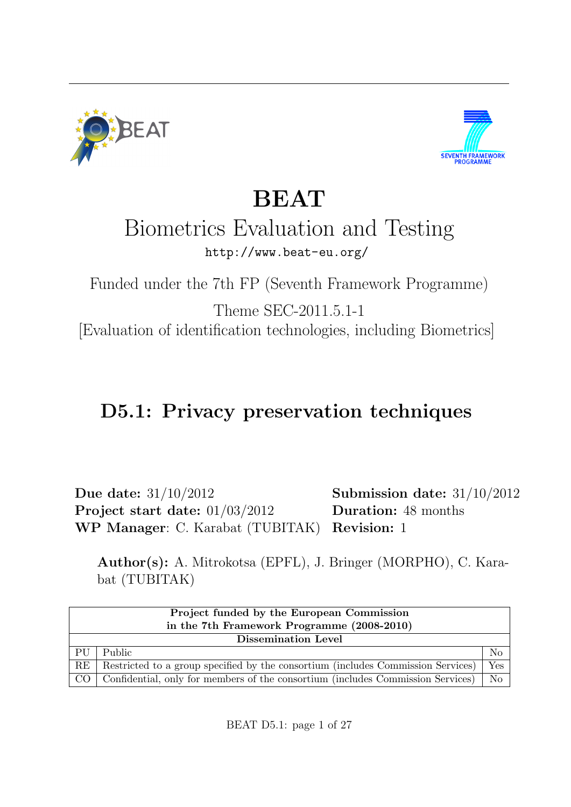



# BEAT

## Biometrics Evaluation and Testing <http://www.beat-eu.org/>

Funded under the 7th FP (Seventh Framework Programme) Theme SEC-2011.5.1-1 [Evaluation of identification technologies, including Biometrics]

# D5.1: Privacy preservation techniques

**Due date:** 31/10/2012 **Submission date:** 31/10/2012 Project start date:  $01/03/2012$  Duration: 48 months WP Manager: C. Karabat (TUBITAK) Revision: 1

Author(s): A. Mitrokotsa (EPFL), J. Bringer (MORPHO), C. Karabat (TUBITAK)

|                                            | Project funded by the European Commission                                        |           |  |  |
|--------------------------------------------|----------------------------------------------------------------------------------|-----------|--|--|
| in the 7th Framework Programme (2008-2010) |                                                                                  |           |  |  |
| Dissemination Level                        |                                                                                  |           |  |  |
| PU                                         | Public                                                                           | No        |  |  |
| RE                                         | Restricted to a group specified by the consortium (includes Commission Services) | Yes       |  |  |
| CO <sub>1</sub>                            | Confidential, only for members of the consortium (includes Commission Services)  | $\rm{No}$ |  |  |

BEAT D5.1: page 1 of [27](#page-19-0)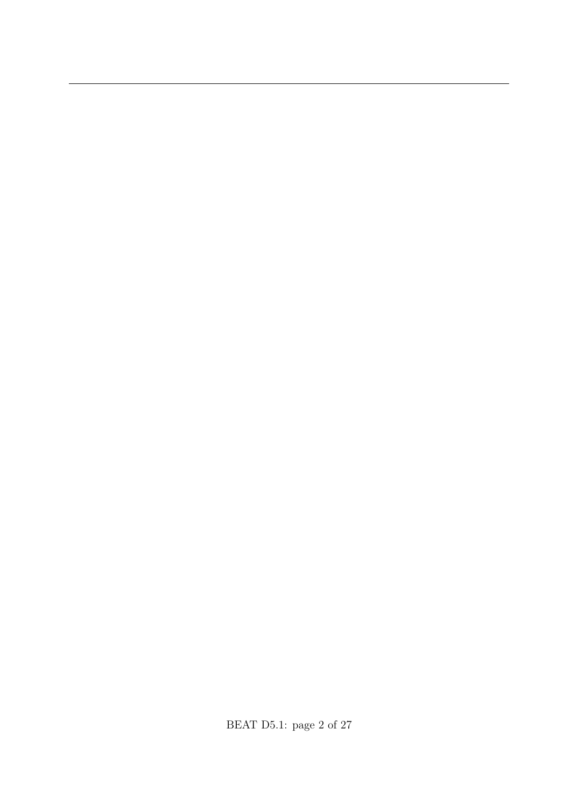BEAT D5.1: page 2 of [27](#page-19-0)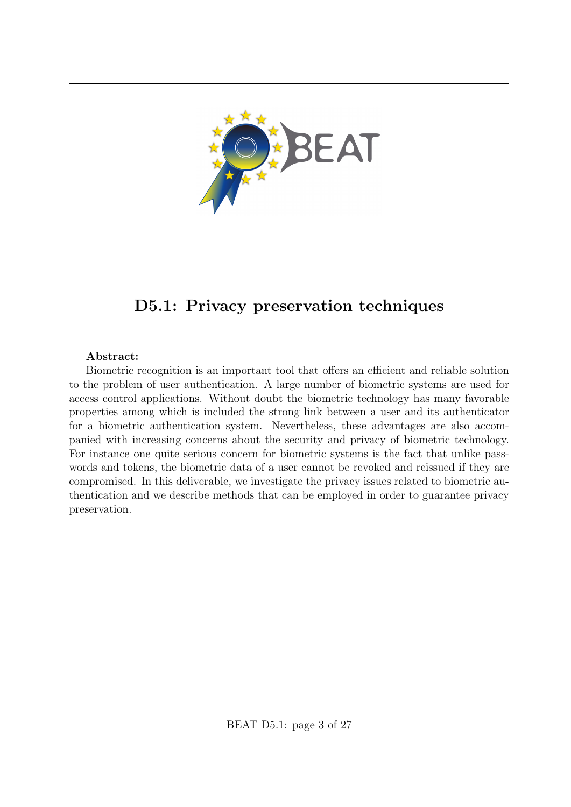

## D5.1: Privacy preservation techniques

#### Abstract:

Biometric recognition is an important tool that offers an efficient and reliable solution to the problem of user authentication. A large number of biometric systems are used for access control applications. Without doubt the biometric technology has many favorable properties among which is included the strong link between a user and its authenticator for a biometric authentication system. Nevertheless, these advantages are also accompanied with increasing concerns about the security and privacy of biometric technology. For instance one quite serious concern for biometric systems is the fact that unlike passwords and tokens, the biometric data of a user cannot be revoked and reissued if they are compromised. In this deliverable, we investigate the privacy issues related to biometric authentication and we describe methods that can be employed in order to guarantee privacy preservation.

BEAT D5.1: page 3 of [27](#page-19-0)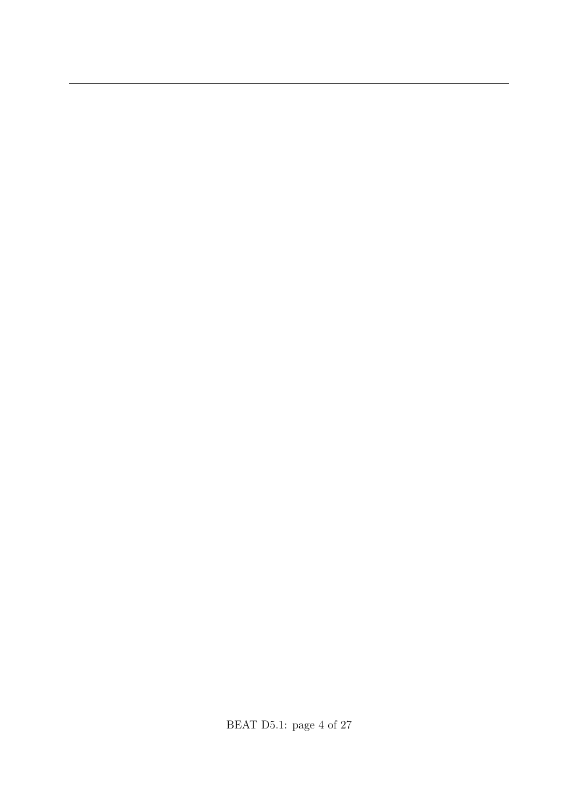BEAT D5.1: page 4 of [27](#page-19-0)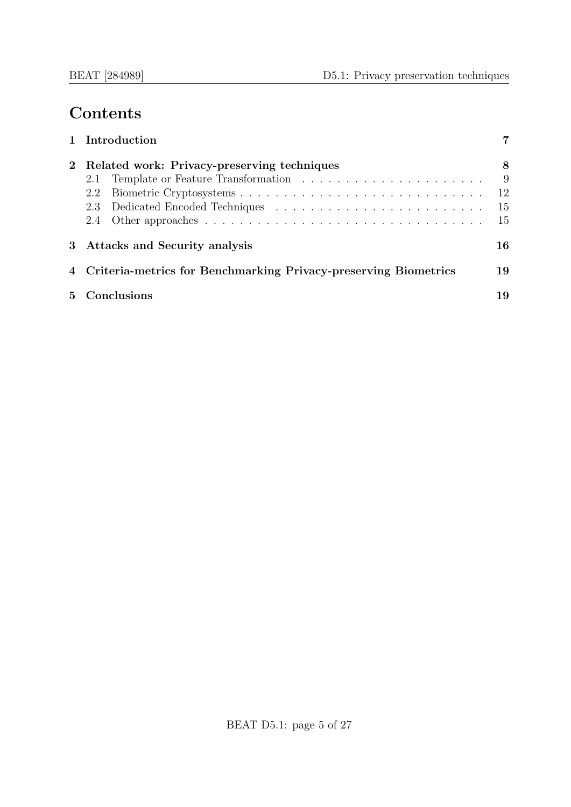## Contents

| 1 Introduction                                                    |     |
|-------------------------------------------------------------------|-----|
| 2 Related work: Privacy-preserving techniques                     | 8   |
| 2.1                                                               | -9  |
| 2.2                                                               | 12  |
| 2.3                                                               | 15  |
| 2.4                                                               | -15 |
| 3 Attacks and Security analysis                                   | 16  |
| 4 Criteria-metrics for Benchmarking Privacy-preserving Biometrics | 19  |
| 5 Conclusions                                                     | 19  |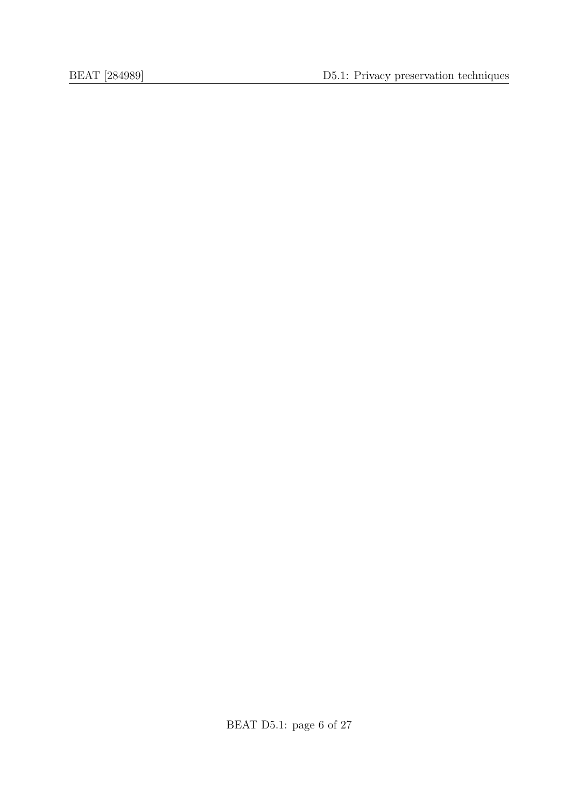BEAT D5.1: page 6 of [27](#page-19-0)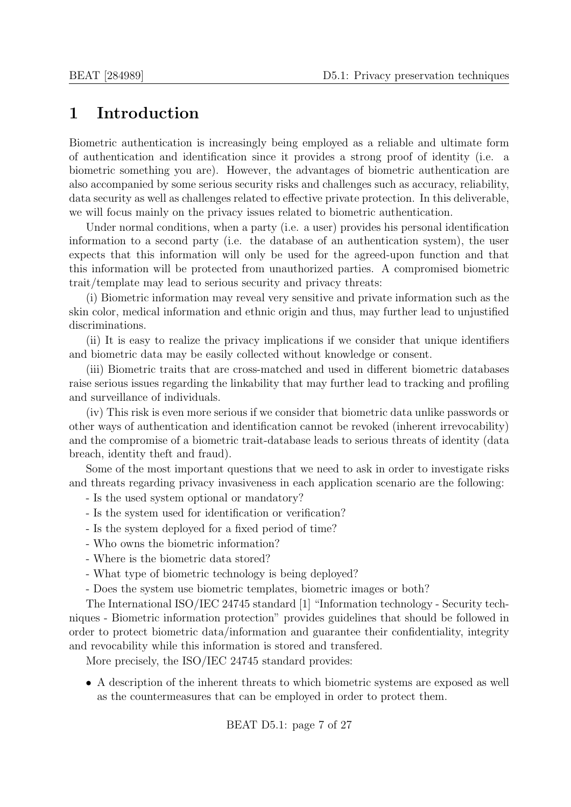### <span id="page-6-0"></span>1 Introduction

Biometric authentication is increasingly being employed as a reliable and ultimate form of authentication and identification since it provides a strong proof of identity (i.e. a biometric something you are). However, the advantages of biometric authentication are also accompanied by some serious security risks and challenges such as accuracy, reliability, data security as well as challenges related to effective private protection. In this deliverable, we will focus mainly on the privacy issues related to biometric authentication.

Under normal conditions, when a party (i.e. a user) provides his personal identification information to a second party (i.e. the database of an authentication system), the user expects that this information will only be used for the agreed-upon function and that this information will be protected from unauthorized parties. A compromised biometric trait/template may lead to serious security and privacy threats:

(i) Biometric information may reveal very sensitive and private information such as the skin color, medical information and ethnic origin and thus, may further lead to unjustified discriminations.

(ii) It is easy to realize the privacy implications if we consider that unique identifiers and biometric data may be easily collected without knowledge or consent.

(iii) Biometric traits that are cross-matched and used in different biometric databases raise serious issues regarding the linkability that may further lead to tracking and profiling and surveillance of individuals.

(iv) This risk is even more serious if we consider that biometric data unlike passwords or other ways of authentication and identification cannot be revoked (inherent irrevocability) and the compromise of a biometric trait-database leads to serious threats of identity (data breach, identity theft and fraud).

Some of the most important questions that we need to ask in order to investigate risks and threats regarding privacy invasiveness in each application scenario are the following:

- Is the used system optional or mandatory?
- Is the system used for identification or verification?
- Is the system deployed for a fixed period of time?
- Who owns the biometric information?
- Where is the biometric data stored?
- What type of biometric technology is being deployed?
- Does the system use biometric templates, biometric images or both?

The International ISO/IEC 24745 standard [\[1\]](#page-19-1) "Information technology - Security techniques - Biometric information protection" provides guidelines that should be followed in order to protect biometric data/information and guarantee their confidentiality, integrity and revocability while this information is stored and transfered.

More precisely, the ISO/IEC 24745 standard provides:

• A description of the inherent threats to which biometric systems are exposed as well as the countermeasures that can be employed in order to protect them.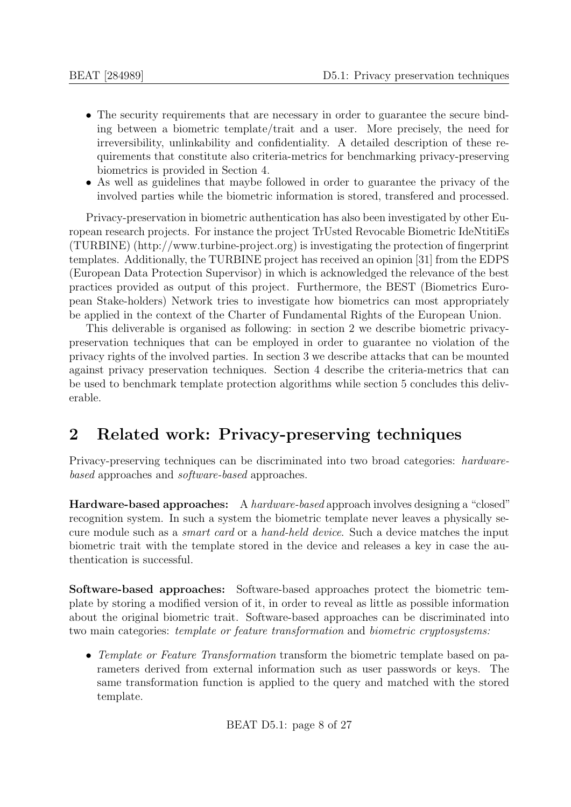- The security requirements that are necessary in order to guarantee the secure binding between a biometric template/trait and a user. More precisely, the need for irreversibility, unlinkability and confidentiality. A detailed description of these requirements that constitute also criteria-metrics for benchmarking privacy-preserving biometrics is provided in Section [4.](#page-18-0)
- As well as guidelines that maybe followed in order to guarantee the privacy of the involved parties while the biometric information is stored, transfered and processed.

Privacy-preservation in biometric authentication has also been investigated by other European research projects. For instance the project TrUsted Revocable Biometric IdeNtitiEs (TURBINE) (http://www.turbine-project.org) is investigating the protection of fingerprint templates. Additionally, the TURBINE project has received an opinion [\[31\]](#page-21-0) from the EDPS (European Data Protection Supervisor) in which is acknowledged the relevance of the best practices provided as output of this project. Furthermore, the BEST (Biometrics European Stake-holders) Network tries to investigate how biometrics can most appropriately be applied in the context of the Charter of Fundamental Rights of the European Union.

This deliverable is organised as following: in section [2](#page-7-0) we describe biometric privacypreservation techniques that can be employed in order to guarantee no violation of the privacy rights of the involved parties. In section [3](#page-15-0) we describe attacks that can be mounted against privacy preservation techniques. Section [4](#page-18-0) describe the criteria-metrics that can be used to benchmark template protection algorithms while section [5](#page-18-1) concludes this deliverable.

## <span id="page-7-0"></span>2 Related work: Privacy-preserving techniques

Privacy-preserving techniques can be discriminated into two broad categories: hardwarebased approaches and *software-based* approaches.

Hardware-based approaches: A hardware-based approach involves designing a "closed" recognition system. In such a system the biometric template never leaves a physically secure module such as a smart card or a hand-held device. Such a device matches the input biometric trait with the template stored in the device and releases a key in case the authentication is successful.

Software-based approaches: Software-based approaches protect the biometric template by storing a modified version of it, in order to reveal as little as possible information about the original biometric trait. Software-based approaches can be discriminated into two main categories: template or feature transformation and biometric cryptosystems:

• Template or Feature Transformation transform the biometric template based on parameters derived from external information such as user passwords or keys. The same transformation function is applied to the query and matched with the stored template.

BEAT D5.1: page 8 of [27](#page-19-0)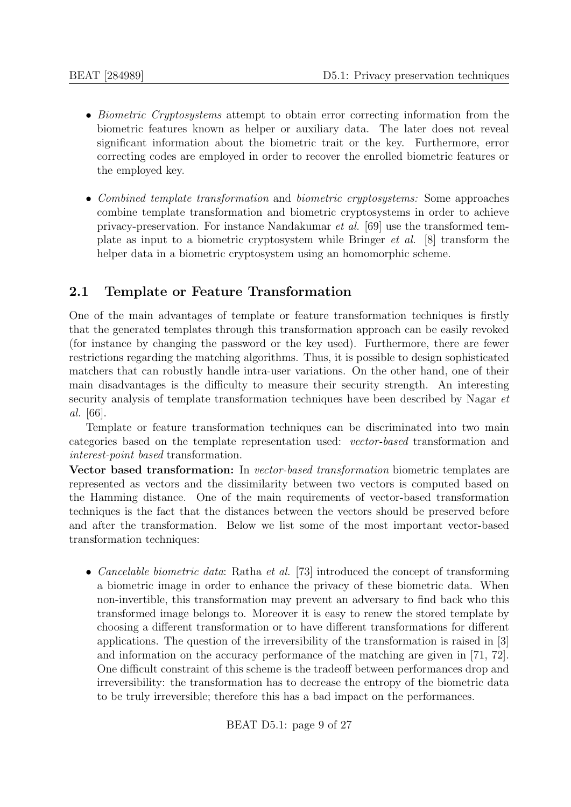- Biometric Cryptosystems attempt to obtain error correcting information from the biometric features known as helper or auxiliary data. The later does not reveal significant information about the biometric trait or the key. Furthermore, error correcting codes are employed in order to recover the enrolled biometric features or the employed key.
- Combined template transformation and biometric cryptosystems: Some approaches combine template transformation and biometric cryptosystems in order to achieve privacy-preservation. For instance Nandakumar et al. [\[69\]](#page-24-0) use the transformed template as input to a biometric cryptosystem while Bringer *et al.* [\[8\]](#page-19-2) transform the helper data in a biometric cryptosystem using an homomorphic scheme.

### <span id="page-8-0"></span>2.1 Template or Feature Transformation

One of the main advantages of template or feature transformation techniques is firstly that the generated templates through this transformation approach can be easily revoked (for instance by changing the password or the key used). Furthermore, there are fewer restrictions regarding the matching algorithms. Thus, it is possible to design sophisticated matchers that can robustly handle intra-user variations. On the other hand, one of their main disadvantages is the difficulty to measure their security strength. An interesting security analysis of template transformation techniques have been described by Nagar *et* al. [\[66\]](#page-24-1).

Template or feature transformation techniques can be discriminated into two main categories based on the template representation used: vector-based transformation and interest-point based transformation.

Vector based transformation: In vector-based transformation biometric templates are represented as vectors and the dissimilarity between two vectors is computed based on the Hamming distance. One of the main requirements of vector-based transformation techniques is the fact that the distances between the vectors should be preserved before and after the transformation. Below we list some of the most important vector-based transformation techniques:

• Cancelable biometric data: Ratha et al. [\[73\]](#page-24-2) introduced the concept of transforming a biometric image in order to enhance the privacy of these biometric data. When non-invertible, this transformation may prevent an adversary to find back who this transformed image belongs to. Moreover it is easy to renew the stored template by choosing a different transformation or to have different transformations for different applications. The question of the irreversibility of the transformation is raised in [\[3\]](#page-19-3) and information on the accuracy performance of the matching are given in [\[71,](#page-24-3) [72\]](#page-24-4). One difficult constraint of this scheme is the tradeoff between performances drop and irreversibility: the transformation has to decrease the entropy of the biometric data to be truly irreversible; therefore this has a bad impact on the performances.

BEAT D5.1: page 9 of [27](#page-19-0)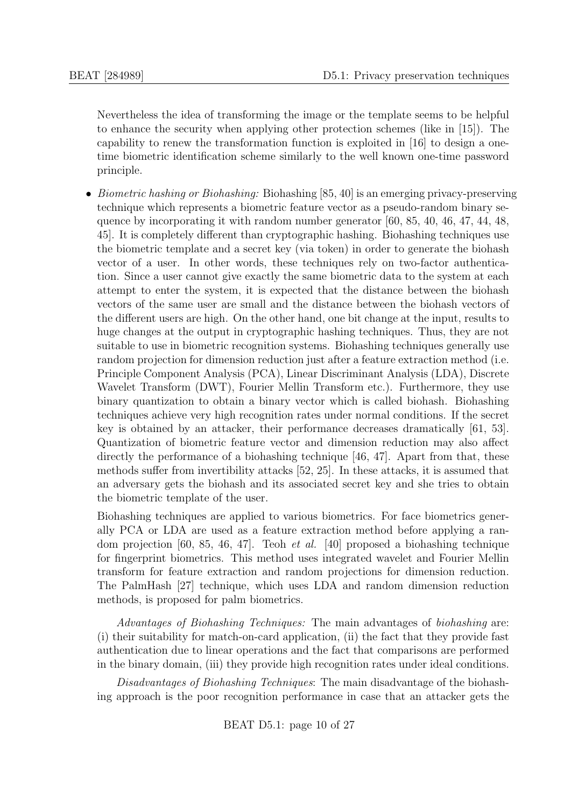Nevertheless the idea of transforming the image or the template seems to be helpful to enhance the security when applying other protection schemes (like in [\[15\]](#page-20-0)). The capability to renew the transformation function is exploited in [\[16\]](#page-20-1) to design a onetime biometric identification scheme similarly to the well known one-time password principle.

• Biometric hashing or Biohashing: Biohashing [\[85,](#page-25-0) [40\]](#page-22-0) is an emerging privacy-preserving technique which represents a biometric feature vector as a pseudo-random binary sequence by incorporating it with random number generator [\[60,](#page-23-0) [85,](#page-25-0) [40,](#page-22-0) [46,](#page-22-1) [47,](#page-22-2) [44,](#page-22-3) [48,](#page-22-4) [45\]](#page-22-5). It is completely different than cryptographic hashing. Biohashing techniques use the biometric template and a secret key (via token) in order to generate the biohash vector of a user. In other words, these techniques rely on two-factor authentication. Since a user cannot give exactly the same biometric data to the system at each attempt to enter the system, it is expected that the distance between the biohash vectors of the same user are small and the distance between the biohash vectors of the different users are high. On the other hand, one bit change at the input, results to huge changes at the output in cryptographic hashing techniques. Thus, they are not suitable to use in biometric recognition systems. Biohashing techniques generally use random projection for dimension reduction just after a feature extraction method (i.e. Principle Component Analysis (PCA), Linear Discriminant Analysis (LDA), Discrete Wavelet Transform (DWT), Fourier Mellin Transform etc.). Furthermore, they use binary quantization to obtain a binary vector which is called biohash. Biohashing techniques achieve very high recognition rates under normal conditions. If the secret key is obtained by an attacker, their performance decreases dramatically [\[61,](#page-23-1) [53\]](#page-23-2). Quantization of biometric feature vector and dimension reduction may also affect directly the performance of a biohashing technique [\[46,](#page-22-1) [47\]](#page-22-2). Apart from that, these methods suffer from invertibility attacks [\[52,](#page-23-3) [25\]](#page-21-1). In these attacks, it is assumed that an adversary gets the biohash and its associated secret key and she tries to obtain the biometric template of the user.

Biohashing techniques are applied to various biometrics. For face biometrics generally PCA or LDA are used as a feature extraction method before applying a random projection [\[60,](#page-23-0) [85,](#page-25-0) [46,](#page-22-1) [47\]](#page-22-2). Teoh et al. [\[40\]](#page-22-0) proposed a biohashing technique for fingerprint biometrics. This method uses integrated wavelet and Fourier Mellin transform for feature extraction and random projections for dimension reduction. The PalmHash [\[27\]](#page-21-2) technique, which uses LDA and random dimension reduction methods, is proposed for palm biometrics.

Advantages of Biohashing Techniques: The main advantages of biohashing are: (i) their suitability for match-on-card application, (ii) the fact that they provide fast authentication due to linear operations and the fact that comparisons are performed in the binary domain, (iii) they provide high recognition rates under ideal conditions.

Disadvantages of Biohashing Techniques: The main disadvantage of the biohashing approach is the poor recognition performance in case that an attacker gets the

BEAT D5.1: page 10 of [27](#page-19-0)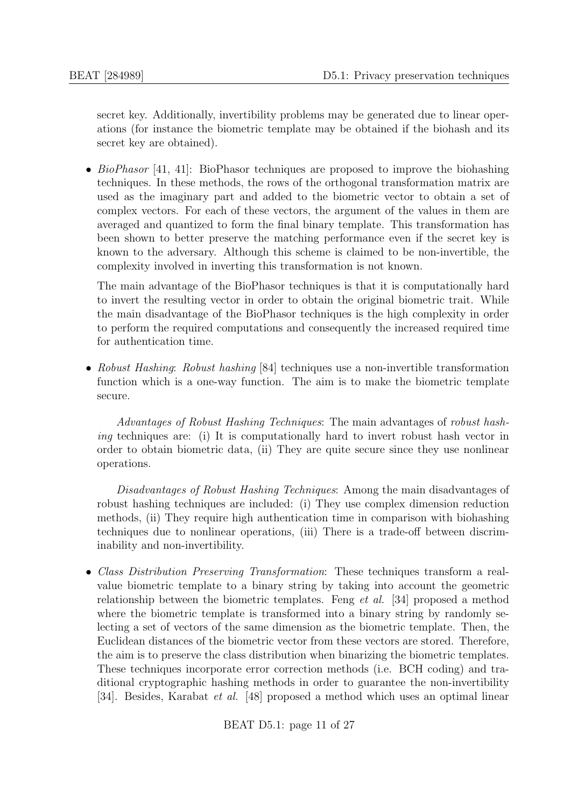secret key. Additionally, invertibility problems may be generated due to linear operations (for instance the biometric template may be obtained if the biohash and its secret key are obtained).

• BioPhasor [\[41,](#page-22-6) [41\]](#page-22-6): BioPhasor techniques are proposed to improve the biohashing techniques. In these methods, the rows of the orthogonal transformation matrix are used as the imaginary part and added to the biometric vector to obtain a set of complex vectors. For each of these vectors, the argument of the values in them are averaged and quantized to form the final binary template. This transformation has been shown to better preserve the matching performance even if the secret key is known to the adversary. Although this scheme is claimed to be non-invertible, the complexity involved in inverting this transformation is not known.

The main advantage of the BioPhasor techniques is that it is computationally hard to invert the resulting vector in order to obtain the original biometric trait. While the main disadvantage of the BioPhasor techniques is the high complexity in order to perform the required computations and consequently the increased required time for authentication time.

• Robust Hashing: Robust hashing [\[84\]](#page-25-1) techniques use a non-invertible transformation function which is a one-way function. The aim is to make the biometric template secure.

Advantages of Robust Hashing Techniques: The main advantages of robust hashing techniques are: (i) It is computationally hard to invert robust hash vector in order to obtain biometric data, (ii) They are quite secure since they use nonlinear operations.

Disadvantages of Robust Hashing Techniques: Among the main disadvantages of robust hashing techniques are included: (i) They use complex dimension reduction methods, (ii) They require high authentication time in comparison with biohashing techniques due to nonlinear operations, (iii) There is a trade-off between discriminability and non-invertibility.

• Class Distribution Preserving Transformation: These techniques transform a realvalue biometric template to a binary string by taking into account the geometric relationship between the biometric templates. Feng et al. [\[34\]](#page-21-3) proposed a method where the biometric template is transformed into a binary string by randomly selecting a set of vectors of the same dimension as the biometric template. Then, the Euclidean distances of the biometric vector from these vectors are stored. Therefore, the aim is to preserve the class distribution when binarizing the biometric templates. These techniques incorporate error correction methods (i.e. BCH coding) and traditional cryptographic hashing methods in order to guarantee the non-invertibility [\[34\]](#page-21-3). Besides, Karabat et al. [\[48\]](#page-22-4) proposed a method which uses an optimal linear

BEAT D5.1: page 11 of [27](#page-19-0)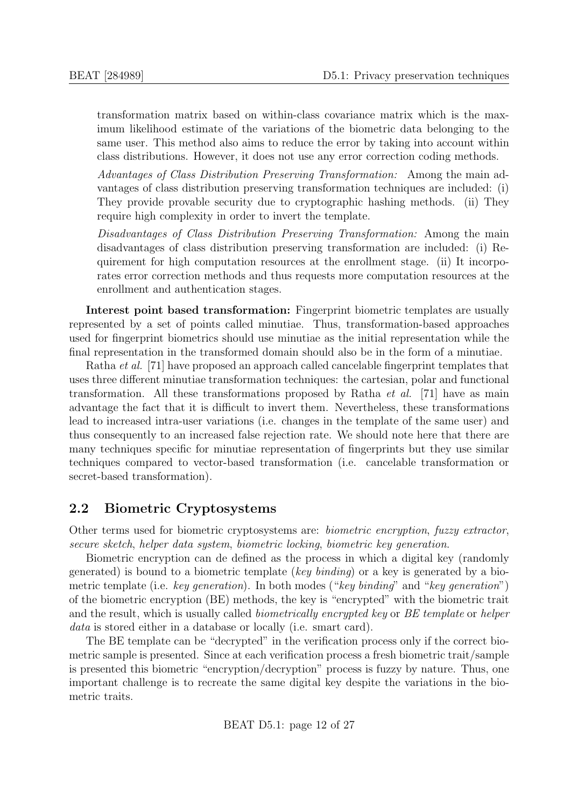transformation matrix based on within-class covariance matrix which is the maximum likelihood estimate of the variations of the biometric data belonging to the same user. This method also aims to reduce the error by taking into account within class distributions. However, it does not use any error correction coding methods.

Advantages of Class Distribution Preserving Transformation: Among the main advantages of class distribution preserving transformation techniques are included: (i) They provide provable security due to cryptographic hashing methods. (ii) They require high complexity in order to invert the template.

Disadvantages of Class Distribution Preserving Transformation: Among the main disadvantages of class distribution preserving transformation are included: (i) Requirement for high computation resources at the enrollment stage. (ii) It incorporates error correction methods and thus requests more computation resources at the enrollment and authentication stages.

Interest point based transformation: Fingerprint biometric templates are usually represented by a set of points called minutiae. Thus, transformation-based approaches used for fingerprint biometrics should use minutiae as the initial representation while the final representation in the transformed domain should also be in the form of a minutiae.

Ratha et al. [\[71\]](#page-24-3) have proposed an approach called cancelable fingerprint templates that uses three different minutiae transformation techniques: the cartesian, polar and functional transformation. All these transformations proposed by Ratha et al. [\[71\]](#page-24-3) have as main advantage the fact that it is difficult to invert them. Nevertheless, these transformations lead to increased intra-user variations (i.e. changes in the template of the same user) and thus consequently to an increased false rejection rate. We should note here that there are many techniques specific for minutiae representation of fingerprints but they use similar techniques compared to vector-based transformation (i.e. cancelable transformation or secret-based transformation).

#### <span id="page-11-0"></span>2.2 Biometric Cryptosystems

Other terms used for biometric cryptosystems are: biometric encryption, fuzzy extractor, secure sketch, helper data system, biometric locking, biometric key generation.

Biometric encryption can de defined as the process in which a digital key (randomly generated) is bound to a biometric template (key binding) or a key is generated by a biometric template (i.e. key generation). In both modes ("key binding" and "key generation") of the biometric encryption (BE) methods, the key is "encrypted" with the biometric trait and the result, which is usually called *biometrically encrypted key* or BE template or helper data is stored either in a database or locally (i.e. smart card).

The BE template can be "decrypted" in the verification process only if the correct biometric sample is presented. Since at each verification process a fresh biometric trait/sample is presented this biometric "encryption/decryption" process is fuzzy by nature. Thus, one important challenge is to recreate the same digital key despite the variations in the biometric traits.

BEAT D5.1: page 12 of [27](#page-19-0)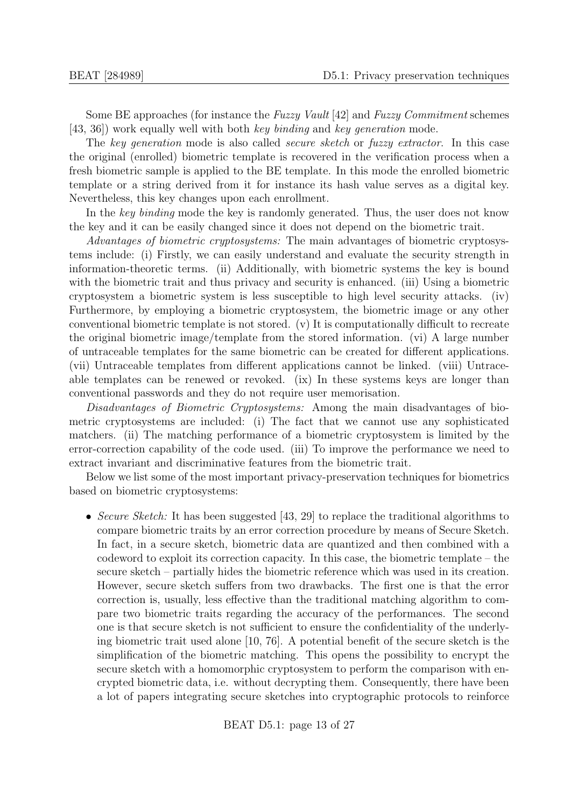Some BE approaches (for instance the Fuzzy Vault [\[42\]](#page-22-7) and Fuzzy Commitment schemes [\[43,](#page-22-8) [36\]](#page-21-4)) work equally well with both key binding and key generation mode.

The key generation mode is also called secure sketch or fuzzy extractor. In this case the original (enrolled) biometric template is recovered in the verification process when a fresh biometric sample is applied to the BE template. In this mode the enrolled biometric template or a string derived from it for instance its hash value serves as a digital key. Nevertheless, this key changes upon each enrollment.

In the key binding mode the key is randomly generated. Thus, the user does not know the key and it can be easily changed since it does not depend on the biometric trait.

Advantages of biometric cryptosystems: The main advantages of biometric cryptosystems include: (i) Firstly, we can easily understand and evaluate the security strength in information-theoretic terms. (ii) Additionally, with biometric systems the key is bound with the biometric trait and thus privacy and security is enhanced. (iii) Using a biometric cryptosystem a biometric system is less susceptible to high level security attacks. (iv) Furthermore, by employing a biometric cryptosystem, the biometric image or any other conventional biometric template is not stored. (v) It is computationally difficult to recreate the original biometric image/template from the stored information. (vi) A large number of untraceable templates for the same biometric can be created for different applications. (vii) Untraceable templates from different applications cannot be linked. (viii) Untraceable templates can be renewed or revoked. (ix) In these systems keys are longer than conventional passwords and they do not require user memorisation.

Disadvantages of Biometric Cryptosystems: Among the main disadvantages of biometric cryptosystems are included: (i) The fact that we cannot use any sophisticated matchers. (ii) The matching performance of a biometric cryptosystem is limited by the error-correction capability of the code used. (iii) To improve the performance we need to extract invariant and discriminative features from the biometric trait.

Below we list some of the most important privacy-preservation techniques for biometrics based on biometric cryptosystems:

• Secure Sketch: It has been suggested [\[43,](#page-22-8) [29\]](#page-21-5) to replace the traditional algorithms to compare biometric traits by an error correction procedure by means of Secure Sketch. In fact, in a secure sketch, biometric data are quantized and then combined with a codeword to exploit its correction capacity. In this case, the biometric template – the secure sketch – partially hides the biometric reference which was used in its creation. However, secure sketch suffers from two drawbacks. The first one is that the error correction is, usually, less effective than the traditional matching algorithm to compare two biometric traits regarding the accuracy of the performances. The second one is that secure sketch is not sufficient to ensure the confidentiality of the underlying biometric trait used alone [\[10,](#page-19-4) [76\]](#page-24-5). A potential benefit of the secure sketch is the simplification of the biometric matching. This opens the possibility to encrypt the secure sketch with a homomorphic cryptosystem to perform the comparison with encrypted biometric data, i.e. without decrypting them. Consequently, there have been a lot of papers integrating secure sketches into cryptographic protocols to reinforce

BEAT D5.1: page 13 of [27](#page-19-0)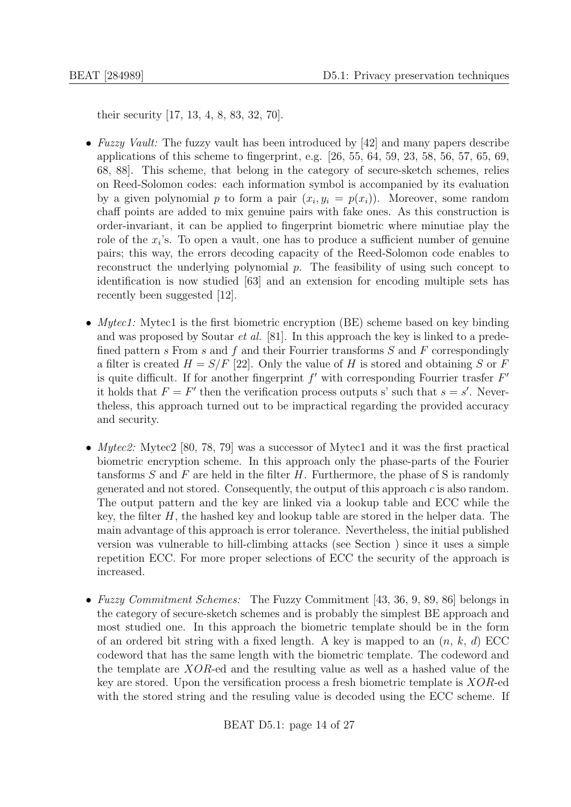their security [\[17,](#page-20-2) [13,](#page-20-3) [4,](#page-19-5) [8,](#page-19-2) [83,](#page-25-2) [32,](#page-21-6) [70\]](#page-24-6).

- Fuzzy Vault: The fuzzy vault has been introduced by [\[42\]](#page-22-7) and many papers describe applications of this scheme to fingerprint, e.g. [\[26,](#page-21-7) [55,](#page-23-4) [64,](#page-23-5) [59,](#page-23-6) [23,](#page-20-4) [58,](#page-23-7) [56,](#page-23-8) [57,](#page-23-9) [65,](#page-24-7) [69,](#page-24-0) [68,](#page-24-8) [88\]](#page-25-3). This scheme, that belong in the category of secure-sketch schemes, relies on Reed-Solomon codes: each information symbol is accompanied by its evaluation by a given polynomial p to form a pair  $(x_i, y_i = p(x_i))$ . Moreover, some random chaff points are added to mix genuine pairs with fake ones. As this construction is order-invariant, it can be applied to fingerprint biometric where minutiae play the role of the  $x_i$ 's. To open a vault, one has to produce a sufficient number of genuine pairs; this way, the errors decoding capacity of the Reed-Solomon code enables to reconstruct the underlying polynomial  $p$ . The feasibility of using such concept to identification is now studied [\[63\]](#page-23-10) and an extension for encoding multiple sets has recently been suggested [\[12\]](#page-20-5).
- *Mytec1*: Mytec1 is the first biometric encryption (BE) scheme based on key binding and was proposed by Soutar et al. [\[81\]](#page-25-4). In this approach the key is linked to a predefined pattern s From s and f and their Fourrier transforms  $S$  and  $F$  correspondingly a filter is created  $H = S/F$  [\[22\]](#page-20-6). Only the value of H is stored and obtaining S or F is quite difficult. If for another fingerprint  $f'$  with corresponding Fourrier trasfer  $F'$ it holds that  $F = F'$  then the verification process outputs s' such that  $s = s'$ . Nevertheless, this approach turned out to be impractical regarding the provided accuracy and security.
- $Mytec2$ : Mytec2 [\[80,](#page-25-5) [78,](#page-24-9) [79\]](#page-25-6) was a successor of Mytec1 and it was the first practical biometric encryption scheme. In this approach only the phase-parts of the Fourier tansforms  $S$  and  $F$  are held in the filter  $H$ . Furthermore, the phase of  $S$  is randomly generated and not stored. Consequently, the output of this approach  $c$  is also random. The output pattern and the key are linked via a lookup table and ECC while the key, the filter  $H$ , the hashed key and lookup table are stored in the helper data. The main advantage of this approach is error tolerance. Nevertheless, the initial published version was vulnerable to hill-climbing attacks (see Section ) since it uses a simple repetition ECC. For more proper selections of ECC the security of the approach is increased.
- Fuzzy Commitment Schemes: The Fuzzy Commitment [\[43,](#page-22-8) [36,](#page-21-4) [9,](#page-19-6) [89,](#page-25-7) [86\]](#page-25-8) belongs in the category of secure-sketch schemes and is probably the simplest BE approach and most studied one. In this approach the biometric template should be in the form of an ordered bit string with a fixed length. A key is mapped to an  $(n, k, d)$  ECC codeword that has the same length with the biometric template. The codeword and the template are XOR-ed and the resulting value as well as a hashed value of the key are stored. Upon the versification process a fresh biometric template is XOR-ed with the stored string and the resuling value is decoded using the ECC scheme. If

BEAT D5.1: page 14 of [27](#page-19-0)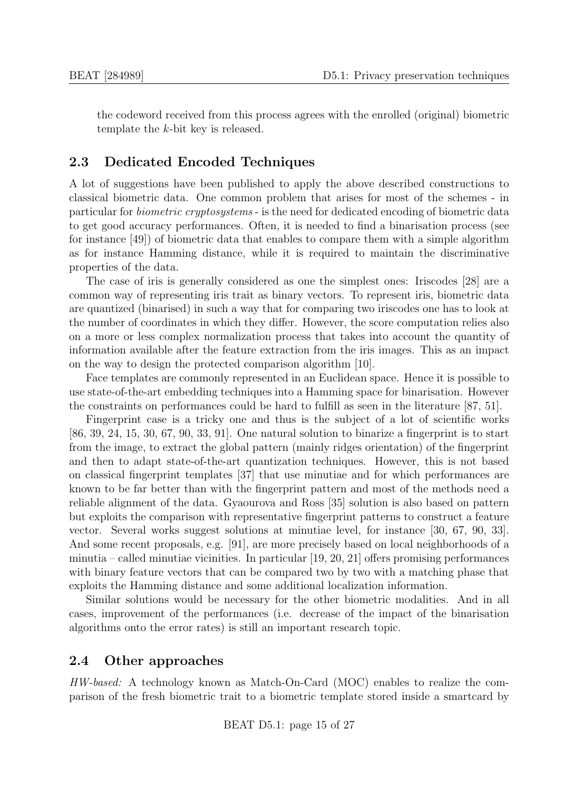the codeword received from this process agrees with the enrolled (original) biometric template the k-bit key is released.

#### <span id="page-14-0"></span>2.3 Dedicated Encoded Techniques

A lot of suggestions have been published to apply the above described constructions to classical biometric data. One common problem that arises for most of the schemes - in particular for biometric cryptosystems - is the need for dedicated encoding of biometric data to get good accuracy performances. Often, it is needed to find a binarisation process (see for instance [\[49\]](#page-22-9)) of biometric data that enables to compare them with a simple algorithm as for instance Hamming distance, while it is required to maintain the discriminative properties of the data.

The case of iris is generally considered as one the simplest ones: Iriscodes [\[28\]](#page-21-8) are a common way of representing iris trait as binary vectors. To represent iris, biometric data are quantized (binarised) in such a way that for comparing two iriscodes one has to look at the number of coordinates in which they differ. However, the score computation relies also on a more or less complex normalization process that takes into account the quantity of information available after the feature extraction from the iris images. This as an impact on the way to design the protected comparison algorithm [\[10\]](#page-19-4).

Face templates are commonly represented in an Euclidean space. Hence it is possible to use state-of-the-art embedding techniques into a Hamming space for binarisation. However the constraints on performances could be hard to fulfill as seen in the literature [\[87,](#page-25-9) [51\]](#page-23-11).

Fingerprint case is a tricky one and thus is the subject of a lot of scientific works [\[86,](#page-25-8) [39,](#page-22-10) [24,](#page-21-9) [15,](#page-20-0) [30,](#page-21-10) [67,](#page-24-10) [90,](#page-25-10) [33,](#page-21-11) [91\]](#page-26-0). One natural solution to binarize a fingerprint is to start from the image, to extract the global pattern (mainly ridges orientation) of the fingerprint and then to adapt state-of-the-art quantization techniques. However, this is not based on classical fingerprint templates [\[37\]](#page-21-12) that use minutiae and for which performances are known to be far better than with the fingerprint pattern and most of the methods need a reliable alignment of the data. Gyaourova and Ross [\[35\]](#page-21-13) solution is also based on pattern but exploits the comparison with representative fingerprint patterns to construct a feature vector. Several works suggest solutions at minutiae level, for instance [\[30,](#page-21-10) [67,](#page-24-10) [90,](#page-25-10) [33\]](#page-21-11). And some recent proposals, e.g. [\[91\]](#page-26-0), are more precisely based on local neighborhoods of a minutia – called minutiae vicinities. In particular  $[19, 20, 21]$  $[19, 20, 21]$  $[19, 20, 21]$  $[19, 20, 21]$  $[19, 20, 21]$  offers promising performances with binary feature vectors that can be compared two by two with a matching phase that exploits the Hamming distance and some additional localization information.

Similar solutions would be necessary for the other biometric modalities. And in all cases, improvement of the performances (i.e. decrease of the impact of the binarisation algorithms onto the error rates) is still an important research topic.

#### <span id="page-14-1"></span>2.4 Other approaches

HW-based: A technology known as Match-On-Card (MOC) enables to realize the comparison of the fresh biometric trait to a biometric template stored inside a smartcard by

BEAT D5.1: page 15 of [27](#page-19-0)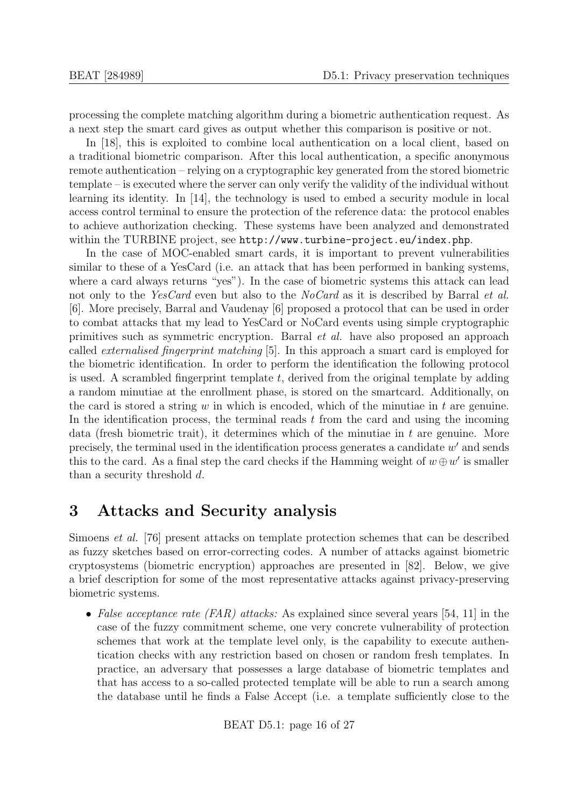processing the complete matching algorithm during a biometric authentication request. As a next step the smart card gives as output whether this comparison is positive or not.

In [\[18\]](#page-20-10), this is exploited to combine local authentication on a local client, based on a traditional biometric comparison. After this local authentication, a specific anonymous remote authentication – relying on a cryptographic key generated from the stored biometric template – is executed where the server can only verify the validity of the individual without learning its identity. In [\[14\]](#page-20-11), the technology is used to embed a security module in local access control terminal to ensure the protection of the reference data: the protocol enables to achieve authorization checking. These systems have been analyzed and demonstrated within the TURBINE project, see <http://www.turbine-project.eu/index.php>.

In the case of MOC-enabled smart cards, it is important to prevent vulnerabilities similar to these of a YesCard (i.e. an attack that has been performed in banking systems, where a card always returns "yes"). In the case of biometric systems this attack can lead not only to the YesCard even but also to the NoCard as it is described by Barral et al. [\[6\]](#page-19-7). More precisely, Barral and Vaudenay [\[6\]](#page-19-7) proposed a protocol that can be used in order to combat attacks that my lead to YesCard or NoCard events using simple cryptographic primitives such as symmetric encryption. Barral et al. have also proposed an approach called externalised fingerprint matching [\[5\]](#page-19-8). In this approach a smart card is employed for the biometric identification. In order to perform the identification the following protocol is used. A scrambled fingerprint template  $t$ , derived from the original template by adding a random minutiae at the enrollment phase, is stored on the smartcard. Additionally, on the card is stored a string  $w$  in which is encoded, which of the minutiae in  $t$  are genuine. In the identification process, the terminal reads  $t$  from the card and using the incoming data (fresh biometric trait), it determines which of the minutiae in  $t$  are genuine. More precisely, the terminal used in the identification process generates a candidate  $w'$  and sends this to the card. As a final step the card checks if the Hamming weight of  $w \oplus w'$  is smaller than a security threshold d.

### <span id="page-15-0"></span>3 Attacks and Security analysis

Simoens et al. [\[76\]](#page-24-5) present attacks on template protection schemes that can be described as fuzzy sketches based on error-correcting codes. A number of attacks against biometric cryptosystems (biometric encryption) approaches are presented in [\[82\]](#page-25-11). Below, we give a brief description for some of the most representative attacks against privacy-preserving biometric systems.

• False acceptance rate (FAR) attacks: As explained since several years [\[54,](#page-23-12) [11\]](#page-20-12) in the case of the fuzzy commitment scheme, one very concrete vulnerability of protection schemes that work at the template level only, is the capability to execute authentication checks with any restriction based on chosen or random fresh templates. In practice, an adversary that possesses a large database of biometric templates and that has access to a so-called protected template will be able to run a search among the database until he finds a False Accept (i.e. a template sufficiently close to the

BEAT D5.1: page 16 of [27](#page-19-0)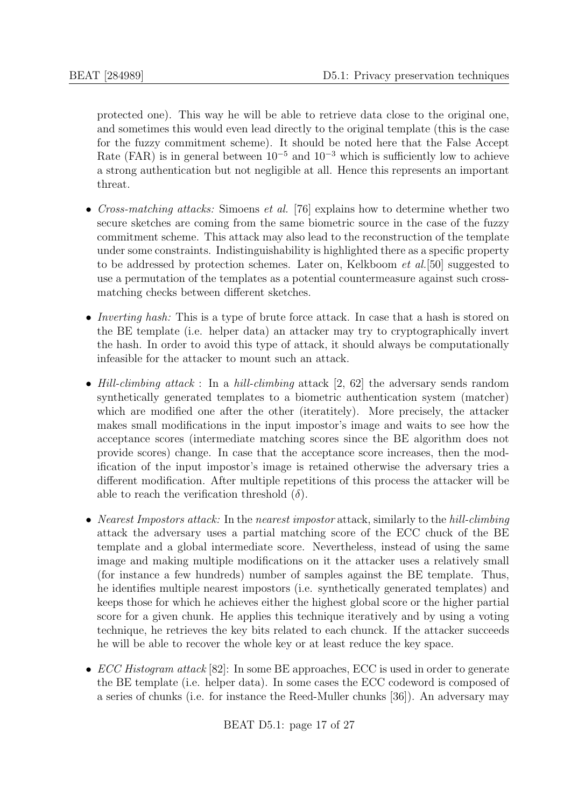protected one). This way he will be able to retrieve data close to the original one, and sometimes this would even lead directly to the original template (this is the case for the fuzzy commitment scheme). It should be noted here that the False Accept Rate (FAR) is in general between  $10^{-5}$  and  $10^{-3}$  which is sufficiently low to achieve a strong authentication but not negligible at all. Hence this represents an important threat.

- Cross-matching attacks: Simoens et al. [\[76\]](#page-24-5) explains how to determine whether two secure sketches are coming from the same biometric source in the case of the fuzzy commitment scheme. This attack may also lead to the reconstruction of the template under some constraints. Indistinguishability is highlighted there as a specific property to be addressed by protection schemes. Later on, Kelkboom et al.[\[50\]](#page-22-11) suggested to use a permutation of the templates as a potential countermeasure against such crossmatching checks between different sketches.
- Inverting hash: This is a type of brute force attack. In case that a hash is stored on the BE template (i.e. helper data) an attacker may try to cryptographically invert the hash. In order to avoid this type of attack, it should always be computationally infeasible for the attacker to mount such an attack.
- Hill-climbing attack : In a hill-climbing attack  $[2, 62]$  $[2, 62]$  $[2, 62]$  the adversary sends random synthetically generated templates to a biometric authentication system (matcher) which are modified one after the other (iteratitely). More precisely, the attacker makes small modifications in the input impostor's image and waits to see how the acceptance scores (intermediate matching scores since the BE algorithm does not provide scores) change. In case that the acceptance score increases, then the modification of the input impostor's image is retained otherwise the adversary tries a different modification. After multiple repetitions of this process the attacker will be able to reach the verification threshold  $(\delta)$ .
- Nearest Impostors attack: In the nearest impostor attack, similarly to the hill-climbing attack the adversary uses a partial matching score of the ECC chuck of the BE template and a global intermediate score. Nevertheless, instead of using the same image and making multiple modifications on it the attacker uses a relatively small (for instance a few hundreds) number of samples against the BE template. Thus, he identifies multiple nearest impostors (i.e. synthetically generated templates) and keeps those for which he achieves either the highest global score or the higher partial score for a given chunk. He applies this technique iteratively and by using a voting technique, he retrieves the key bits related to each chunck. If the attacker succeeds he will be able to recover the whole key or at least reduce the key space.
- ECC Histogram attack [\[82\]](#page-25-11): In some BE approaches, ECC is used in order to generate the BE template (i.e. helper data). In some cases the ECC codeword is composed of a series of chunks (i.e. for instance the Reed-Muller chunks [\[36\]](#page-21-4)). An adversary may

BEAT D5.1: page 17 of [27](#page-19-0)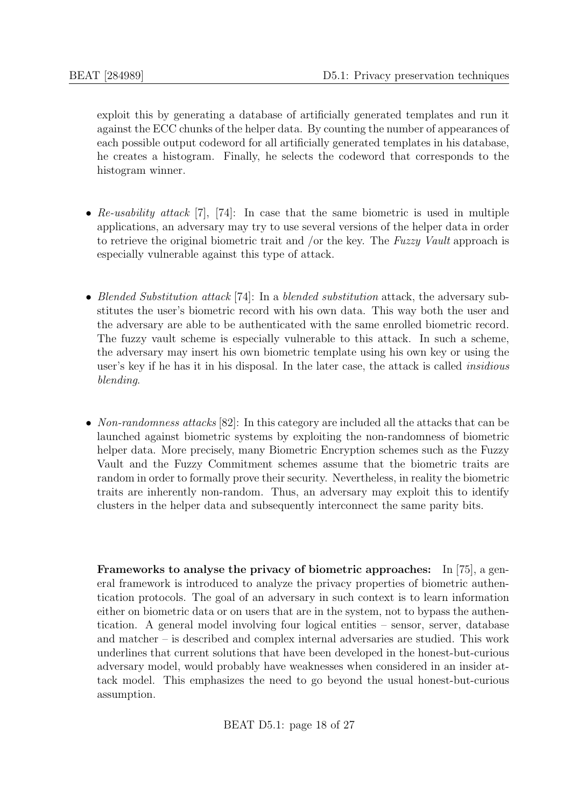exploit this by generating a database of artificially generated templates and run it against the ECC chunks of the helper data. By counting the number of appearances of each possible output codeword for all artificially generated templates in his database, he creates a histogram. Finally, he selects the codeword that corresponds to the histogram winner.

- Re-usability attack [\[7\]](#page-19-10), [\[74\]](#page-24-11): In case that the same biometric is used in multiple applications, an adversary may try to use several versions of the helper data in order to retrieve the original biometric trait and /or the key. The Fuzzy Vault approach is especially vulnerable against this type of attack.
- Blended Substitution attack [\[74\]](#page-24-11): In a blended substitution attack, the adversary substitutes the user's biometric record with his own data. This way both the user and the adversary are able to be authenticated with the same enrolled biometric record. The fuzzy vault scheme is especially vulnerable to this attack. In such a scheme, the adversary may insert his own biometric template using his own key or using the user's key if he has it in his disposal. In the later case, the attack is called insidious blending.
- Non-randomness attacks [\[82\]](#page-25-11): In this category are included all the attacks that can be launched against biometric systems by exploiting the non-randomness of biometric helper data. More precisely, many Biometric Encryption schemes such as the Fuzzy Vault and the Fuzzy Commitment schemes assume that the biometric traits are random in order to formally prove their security. Nevertheless, in reality the biometric traits are inherently non-random. Thus, an adversary may exploit this to identify clusters in the helper data and subsequently interconnect the same parity bits.

Frameworks to analyse the privacy of biometric approaches: In [\[75\]](#page-24-12), a general framework is introduced to analyze the privacy properties of biometric authentication protocols. The goal of an adversary in such context is to learn information either on biometric data or on users that are in the system, not to bypass the authentication. A general model involving four logical entities – sensor, server, database and matcher – is described and complex internal adversaries are studied. This work underlines that current solutions that have been developed in the honest-but-curious adversary model, would probably have weaknesses when considered in an insider attack model. This emphasizes the need to go beyond the usual honest-but-curious assumption.

BEAT D5.1: page 18 of [27](#page-19-0)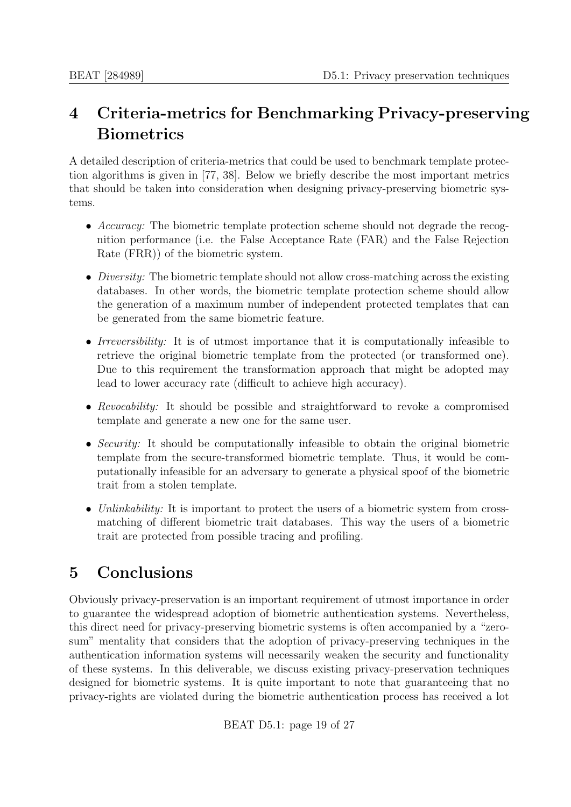## <span id="page-18-0"></span>4 Criteria-metrics for Benchmarking Privacy-preserving **Biometrics**

A detailed description of criteria-metrics that could be used to benchmark template protection algorithms is given in [\[77,](#page-24-13) [38\]](#page-21-14). Below we briefly describe the most important metrics that should be taken into consideration when designing privacy-preserving biometric systems.

- Accuracy: The biometric template protection scheme should not degrade the recognition performance (i.e. the False Acceptance Rate (FAR) and the False Rejection Rate (FRR)) of the biometric system.
- *Diversity:* The biometric template should not allow cross-matching across the existing databases. In other words, the biometric template protection scheme should allow the generation of a maximum number of independent protected templates that can be generated from the same biometric feature.
- Irreversibility: It is of utmost importance that it is computationally infeasible to retrieve the original biometric template from the protected (or transformed one). Due to this requirement the transformation approach that might be adopted may lead to lower accuracy rate (difficult to achieve high accuracy).
- Revocability: It should be possible and straightforward to revoke a compromised template and generate a new one for the same user.
- Security: It should be computationally infeasible to obtain the original biometric template from the secure-transformed biometric template. Thus, it would be computationally infeasible for an adversary to generate a physical spoof of the biometric trait from a stolen template.
- Unlinkability: It is important to protect the users of a biometric system from crossmatching of different biometric trait databases. This way the users of a biometric trait are protected from possible tracing and profiling.

## <span id="page-18-1"></span>5 Conclusions

Obviously privacy-preservation is an important requirement of utmost importance in order to guarantee the widespread adoption of biometric authentication systems. Nevertheless, this direct need for privacy-preserving biometric systems is often accompanied by a "zerosum" mentality that considers that the adoption of privacy-preserving techniques in the authentication information systems will necessarily weaken the security and functionality of these systems. In this deliverable, we discuss existing privacy-preservation techniques designed for biometric systems. It is quite important to note that guaranteeing that no privacy-rights are violated during the biometric authentication process has received a lot

BEAT D5.1: page 19 of [27](#page-19-0)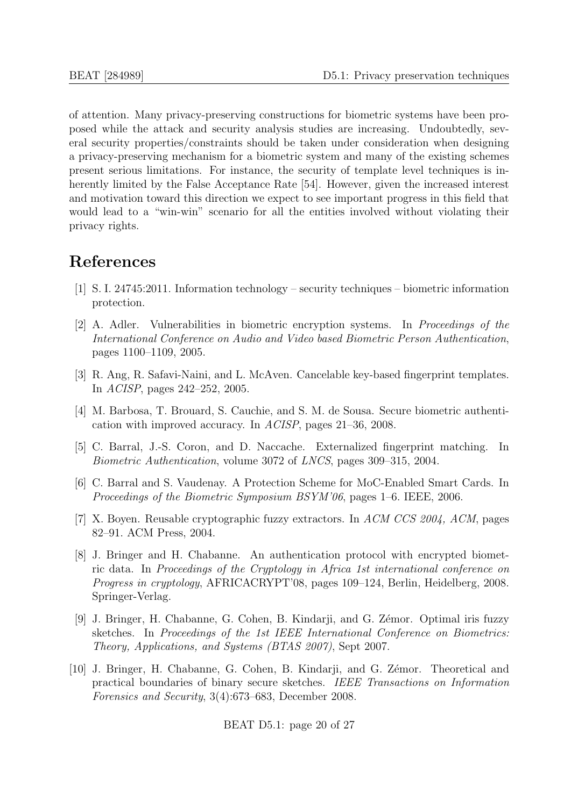of attention. Many privacy-preserving constructions for biometric systems have been proposed while the attack and security analysis studies are increasing. Undoubtedly, several security properties/constraints should be taken under consideration when designing a privacy-preserving mechanism for a biometric system and many of the existing schemes present serious limitations. For instance, the security of template level techniques is inherently limited by the False Acceptance Rate [\[54\]](#page-23-12). However, given the increased interest and motivation toward this direction we expect to see important progress in this field that would lead to a "win-win" scenario for all the entities involved without violating their privacy rights.

#### References

- <span id="page-19-1"></span><span id="page-19-0"></span>[1] S. I. 24745:2011. Information technology – security techniques – biometric information protection.
- <span id="page-19-9"></span>[2] A. Adler. Vulnerabilities in biometric encryption systems. In Proceedings of the International Conference on Audio and Video based Biometric Person Authentication, pages 1100–1109, 2005.
- <span id="page-19-3"></span>[3] R. Ang, R. Safavi-Naini, and L. McAven. Cancelable key-based fingerprint templates. In ACISP, pages 242–252, 2005.
- <span id="page-19-5"></span>[4] M. Barbosa, T. Brouard, S. Cauchie, and S. M. de Sousa. Secure biometric authentication with improved accuracy. In ACISP, pages 21–36, 2008.
- <span id="page-19-8"></span>[5] C. Barral, J.-S. Coron, and D. Naccache. Externalized fingerprint matching. In Biometric Authentication, volume 3072 of LNCS, pages 309–315, 2004.
- <span id="page-19-7"></span>[6] C. Barral and S. Vaudenay. A Protection Scheme for MoC-Enabled Smart Cards. In Proceedings of the Biometric Symposium BSYM'06, pages 1–6. IEEE, 2006.
- <span id="page-19-10"></span>[7] X. Boyen. Reusable cryptographic fuzzy extractors. In ACM CCS 2004, ACM, pages 82–91. ACM Press, 2004.
- <span id="page-19-2"></span>[8] J. Bringer and H. Chabanne. An authentication protocol with encrypted biometric data. In Proceedings of the Cryptology in Africa 1st international conference on Progress in cryptology, AFRICACRYPT'08, pages 109–124, Berlin, Heidelberg, 2008. Springer-Verlag.
- <span id="page-19-6"></span>[9] J. Bringer, H. Chabanne, G. Cohen, B. Kindarji, and G. Zémor. Optimal iris fuzzy sketches. In Proceedings of the 1st IEEE International Conference on Biometrics: Theory, Applications, and Systems (BTAS 2007), Sept 2007.
- <span id="page-19-4"></span>[10] J. Bringer, H. Chabanne, G. Cohen, B. Kindarji, and G. Z´emor. Theoretical and practical boundaries of binary secure sketches. IEEE Transactions on Information Forensics and Security, 3(4):673–683, December 2008.

BEAT D5.1: page 20 of [27](#page-19-0)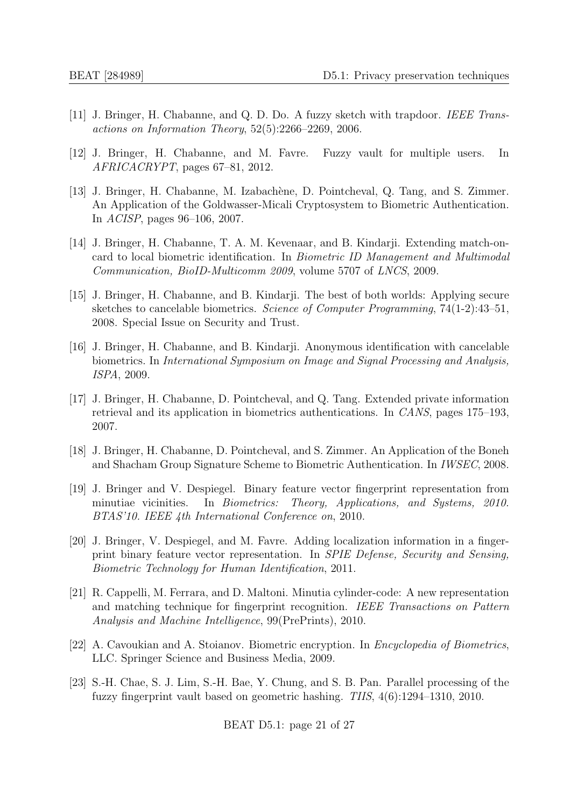- <span id="page-20-12"></span>[11] J. Bringer, H. Chabanne, and Q. D. Do. A fuzzy sketch with trapdoor. IEEE Transactions on Information Theory, 52(5):2266–2269, 2006.
- <span id="page-20-5"></span>[12] J. Bringer, H. Chabanne, and M. Favre. Fuzzy vault for multiple users. In AFRICACRYPT, pages 67–81, 2012.
- <span id="page-20-3"></span>[13] J. Bringer, H. Chabanne, M. Izabach`ene, D. Pointcheval, Q. Tang, and S. Zimmer. An Application of the Goldwasser-Micali Cryptosystem to Biometric Authentication. In ACISP, pages 96–106, 2007.
- <span id="page-20-11"></span>[14] J. Bringer, H. Chabanne, T. A. M. Kevenaar, and B. Kindarji. Extending match-oncard to local biometric identification. In Biometric ID Management and Multimodal Communication, BioID-Multicomm 2009, volume 5707 of LNCS, 2009.
- <span id="page-20-0"></span>[15] J. Bringer, H. Chabanne, and B. Kindarji. The best of both worlds: Applying secure sketches to cancelable biometrics. Science of Computer Programming, 74(1-2):43–51, 2008. Special Issue on Security and Trust.
- <span id="page-20-1"></span>[16] J. Bringer, H. Chabanne, and B. Kindarji. Anonymous identification with cancelable biometrics. In International Symposium on Image and Signal Processing and Analysis, ISPA, 2009.
- <span id="page-20-2"></span>[17] J. Bringer, H. Chabanne, D. Pointcheval, and Q. Tang. Extended private information retrieval and its application in biometrics authentications. In CANS, pages 175–193, 2007.
- <span id="page-20-10"></span>[18] J. Bringer, H. Chabanne, D. Pointcheval, and S. Zimmer. An Application of the Boneh and Shacham Group Signature Scheme to Biometric Authentication. In IWSEC, 2008.
- <span id="page-20-7"></span>[19] J. Bringer and V. Despiegel. Binary feature vector fingerprint representation from minutiae vicinities. In Biometrics: Theory, Applications, and Systems, 2010. BTAS'10. IEEE 4th International Conference on, 2010.
- <span id="page-20-8"></span>[20] J. Bringer, V. Despiegel, and M. Favre. Adding localization information in a fingerprint binary feature vector representation. In SPIE Defense, Security and Sensing, Biometric Technology for Human Identification, 2011.
- <span id="page-20-9"></span>[21] R. Cappelli, M. Ferrara, and D. Maltoni. Minutia cylinder-code: A new representation and matching technique for fingerprint recognition. IEEE Transactions on Pattern Analysis and Machine Intelligence, 99(PrePrints), 2010.
- <span id="page-20-6"></span>[22] A. Cavoukian and A. Stoianov. Biometric encryption. In Encyclopedia of Biometrics, LLC. Springer Science and Business Media, 2009.
- <span id="page-20-4"></span>[23] S.-H. Chae, S. J. Lim, S.-H. Bae, Y. Chung, and S. B. Pan. Parallel processing of the fuzzy fingerprint vault based on geometric hashing. TIIS, 4(6):1294–1310, 2010.

BEAT D5.1: page 21 of [27](#page-19-0)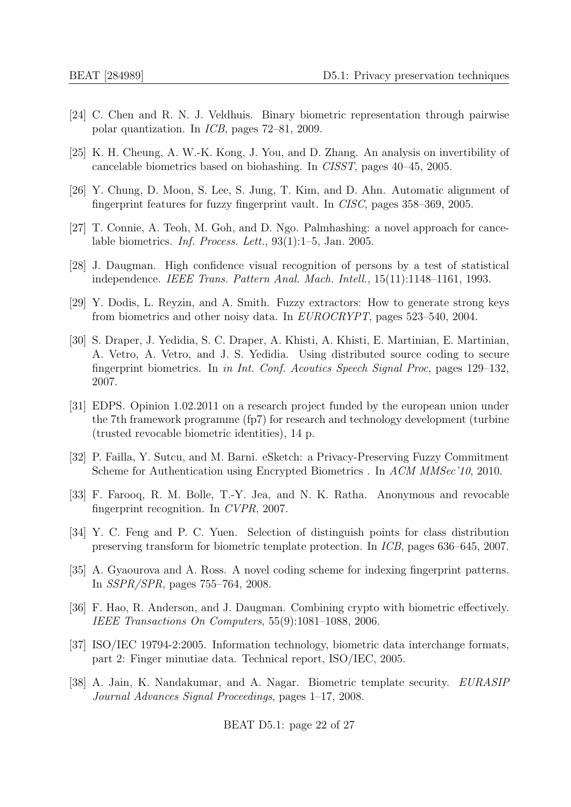- <span id="page-21-9"></span>[24] C. Chen and R. N. J. Veldhuis. Binary biometric representation through pairwise polar quantization. In ICB, pages 72–81, 2009.
- <span id="page-21-1"></span>[25] K. H. Cheung, A. W.-K. Kong, J. You, and D. Zhang. An analysis on invertibility of cancelable biometrics based on biohashing. In CISST, pages 40–45, 2005.
- <span id="page-21-7"></span>[26] Y. Chung, D. Moon, S. Lee, S. Jung, T. Kim, and D. Ahn. Automatic alignment of fingerprint features for fuzzy fingerprint vault. In CISC, pages 358–369, 2005.
- <span id="page-21-2"></span>[27] T. Connie, A. Teoh, M. Goh, and D. Ngo. Palmhashing: a novel approach for cancelable biometrics. Inf. Process. Lett., 93(1):1–5, Jan. 2005.
- <span id="page-21-8"></span>[28] J. Daugman. High confidence visual recognition of persons by a test of statistical independence. IEEE Trans. Pattern Anal. Mach. Intell., 15(11):1148–1161, 1993.
- <span id="page-21-5"></span>[29] Y. Dodis, L. Reyzin, and A. Smith. Fuzzy extractors: How to generate strong keys from biometrics and other noisy data. In EUROCRYPT, pages 523–540, 2004.
- <span id="page-21-10"></span>[30] S. Draper, J. Yedidia, S. C. Draper, A. Khisti, A. Khisti, E. Martinian, E. Martinian, A. Vetro, A. Vetro, and J. S. Yedidia. Using distributed source coding to secure fingerprint biometrics. In in Int. Conf. Acoutics Speech Signal Proc, pages 129–132, 2007.
- <span id="page-21-0"></span>[31] EDPS. Opinion 1.02.2011 on a research project funded by the european union under the 7th framework programme (fp7) for research and technology development (turbine (trusted revocable biometric identities), 14 p.
- <span id="page-21-6"></span>[32] P. Failla, Y. Sutcu, and M. Barni. eSketch: a Privacy-Preserving Fuzzy Commitment Scheme for Authentication using Encrypted Biometrics . In ACM MMSec'10, 2010.
- <span id="page-21-11"></span>[33] F. Farooq, R. M. Bolle, T.-Y. Jea, and N. K. Ratha. Anonymous and revocable fingerprint recognition. In CVPR, 2007.
- <span id="page-21-3"></span>[34] Y. C. Feng and P. C. Yuen. Selection of distinguish points for class distribution preserving transform for biometric template protection. In ICB, pages 636–645, 2007.
- <span id="page-21-13"></span>[35] A. Gyaourova and A. Ross. A novel coding scheme for indexing fingerprint patterns. In SSPR/SPR, pages 755–764, 2008.
- <span id="page-21-4"></span>[36] F. Hao, R. Anderson, and J. Daugman. Combining crypto with biometric effectively. IEEE Transactions On Computers, 55(9):1081–1088, 2006.
- <span id="page-21-12"></span>[37] ISO/IEC 19794-2:2005. Information technology, biometric data interchange formats, part 2: Finger minutiae data. Technical report, ISO/IEC, 2005.
- <span id="page-21-14"></span>[38] A. Jain, K. Nandakumar, and A. Nagar. Biometric template security. EURASIP Journal Advances Signal Proceedings, pages 1–17, 2008.

BEAT D5.1: page 22 of [27](#page-19-0)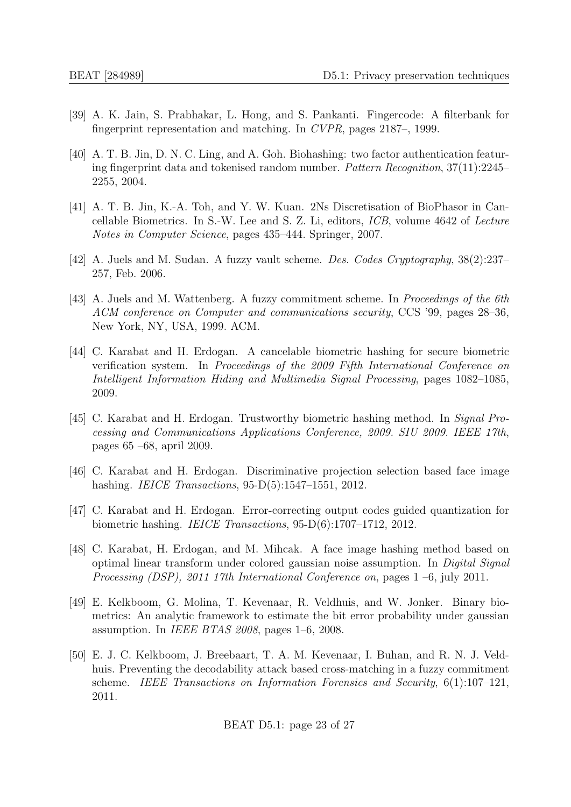- <span id="page-22-10"></span>[39] A. K. Jain, S. Prabhakar, L. Hong, and S. Pankanti. Fingercode: A filterbank for fingerprint representation and matching. In CVPR, pages 2187–, 1999.
- <span id="page-22-0"></span>[40] A. T. B. Jin, D. N. C. Ling, and A. Goh. Biohashing: two factor authentication featuring fingerprint data and tokenised random number. Pattern Recognition, 37(11):2245– 2255, 2004.
- <span id="page-22-6"></span>[41] A. T. B. Jin, K.-A. Toh, and Y. W. Kuan. 2Ns Discretisation of BioPhasor in Cancellable Biometrics. In S.-W. Lee and S. Z. Li, editors, ICB, volume 4642 of Lecture Notes in Computer Science, pages 435–444. Springer, 2007.
- <span id="page-22-7"></span>[42] A. Juels and M. Sudan. A fuzzy vault scheme. Des. Codes Cryptography, 38(2):237– 257, Feb. 2006.
- <span id="page-22-8"></span>[43] A. Juels and M. Wattenberg. A fuzzy commitment scheme. In Proceedings of the 6th ACM conference on Computer and communications security, CCS '99, pages 28–36, New York, NY, USA, 1999. ACM.
- <span id="page-22-3"></span>[44] C. Karabat and H. Erdogan. A cancelable biometric hashing for secure biometric verification system. In Proceedings of the 2009 Fifth International Conference on Intelligent Information Hiding and Multimedia Signal Processing, pages 1082–1085, 2009.
- <span id="page-22-5"></span>[45] C. Karabat and H. Erdogan. Trustworthy biometric hashing method. In Signal Processing and Communications Applications Conference, 2009. SIU 2009. IEEE 17th, pages 65 –68, april 2009.
- <span id="page-22-1"></span>[46] C. Karabat and H. Erdogan. Discriminative projection selection based face image hashing. *IEICE Transactions*, 95-D(5):1547-1551, 2012.
- <span id="page-22-2"></span>[47] C. Karabat and H. Erdogan. Error-correcting output codes guided quantization for biometric hashing. IEICE Transactions, 95-D(6):1707–1712, 2012.
- <span id="page-22-4"></span>[48] C. Karabat, H. Erdogan, and M. Mihcak. A face image hashing method based on optimal linear transform under colored gaussian noise assumption. In Digital Signal Processing (DSP), 2011 17th International Conference on, pages 1 –6, july 2011.
- <span id="page-22-9"></span>[49] E. Kelkboom, G. Molina, T. Kevenaar, R. Veldhuis, and W. Jonker. Binary biometrics: An analytic framework to estimate the bit error probability under gaussian assumption. In IEEE BTAS 2008, pages 1–6, 2008.
- <span id="page-22-11"></span>[50] E. J. C. Kelkboom, J. Breebaart, T. A. M. Kevenaar, I. Buhan, and R. N. J. Veldhuis. Preventing the decodability attack based cross-matching in a fuzzy commitment scheme. IEEE Transactions on Information Forensics and Security,  $6(1):107-121$ , 2011.

BEAT D5.1: page 23 of [27](#page-19-0)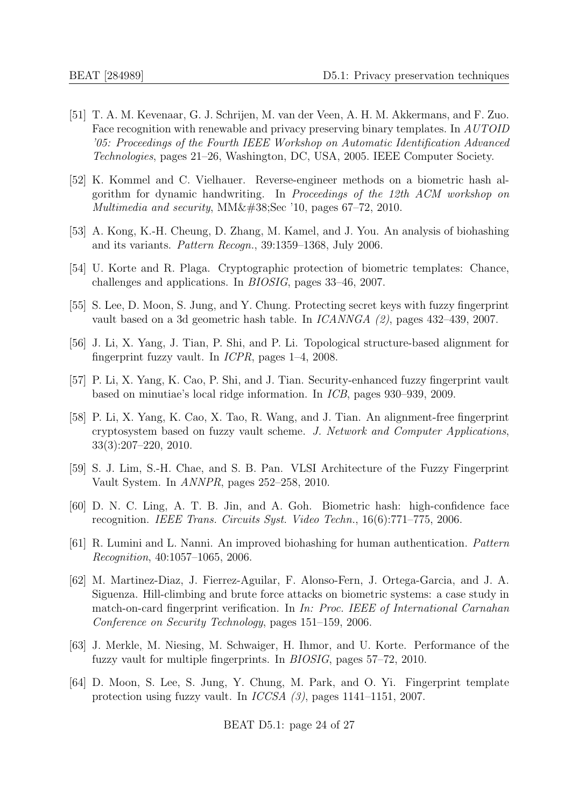- <span id="page-23-11"></span>[51] T. A. M. Kevenaar, G. J. Schrijen, M. van der Veen, A. H. M. Akkermans, and F. Zuo. Face recognition with renewable and privacy preserving binary templates. In AUTOID '05: Proceedings of the Fourth IEEE Workshop on Automatic Identification Advanced Technologies, pages 21–26, Washington, DC, USA, 2005. IEEE Computer Society.
- <span id="page-23-3"></span>[52] K. Kommel and C. Vielhauer. Reverse-engineer methods on a biometric hash algorithm for dynamic handwriting. In Proceedings of the 12th ACM workshop on Multimedia and security,  $MM&\#38;$ Sec '10, pages 67–72, 2010.
- <span id="page-23-2"></span>[53] A. Kong, K.-H. Cheung, D. Zhang, M. Kamel, and J. You. An analysis of biohashing and its variants. Pattern Recogn., 39:1359–1368, July 2006.
- <span id="page-23-12"></span>[54] U. Korte and R. Plaga. Cryptographic protection of biometric templates: Chance, challenges and applications. In BIOSIG, pages 33–46, 2007.
- <span id="page-23-4"></span>[55] S. Lee, D. Moon, S. Jung, and Y. Chung. Protecting secret keys with fuzzy fingerprint vault based on a 3d geometric hash table. In ICANNGA (2), pages 432–439, 2007.
- <span id="page-23-8"></span>[56] J. Li, X. Yang, J. Tian, P. Shi, and P. Li. Topological structure-based alignment for fingerprint fuzzy vault. In ICPR, pages 1–4, 2008.
- <span id="page-23-9"></span>[57] P. Li, X. Yang, K. Cao, P. Shi, and J. Tian. Security-enhanced fuzzy fingerprint vault based on minutiae's local ridge information. In ICB, pages 930–939, 2009.
- <span id="page-23-7"></span>[58] P. Li, X. Yang, K. Cao, X. Tao, R. Wang, and J. Tian. An alignment-free fingerprint cryptosystem based on fuzzy vault scheme. J. Network and Computer Applications, 33(3):207–220, 2010.
- <span id="page-23-6"></span>[59] S. J. Lim, S.-H. Chae, and S. B. Pan. VLSI Architecture of the Fuzzy Fingerprint Vault System. In ANNPR, pages 252–258, 2010.
- <span id="page-23-0"></span>[60] D. N. C. Ling, A. T. B. Jin, and A. Goh. Biometric hash: high-confidence face recognition. IEEE Trans. Circuits Syst. Video Techn., 16(6):771–775, 2006.
- <span id="page-23-1"></span>[61] R. Lumini and L. Nanni. An improved biohashing for human authentication. Pattern Recognition, 40:1057–1065, 2006.
- <span id="page-23-13"></span>[62] M. Martinez-Diaz, J. Fierrez-Aguilar, F. Alonso-Fern, J. Ortega-Garcia, and J. A. Siguenza. Hill-climbing and brute force attacks on biometric systems: a case study in match-on-card fingerprint verification. In In: Proc. IEEE of International Carnahan Conference on Security Technology, pages 151–159, 2006.
- <span id="page-23-10"></span>[63] J. Merkle, M. Niesing, M. Schwaiger, H. Ihmor, and U. Korte. Performance of the fuzzy vault for multiple fingerprints. In BIOSIG, pages 57–72, 2010.
- <span id="page-23-5"></span>[64] D. Moon, S. Lee, S. Jung, Y. Chung, M. Park, and O. Yi. Fingerprint template protection using fuzzy vault. In ICCSA (3), pages 1141–1151, 2007.

BEAT D5.1: page 24 of [27](#page-19-0)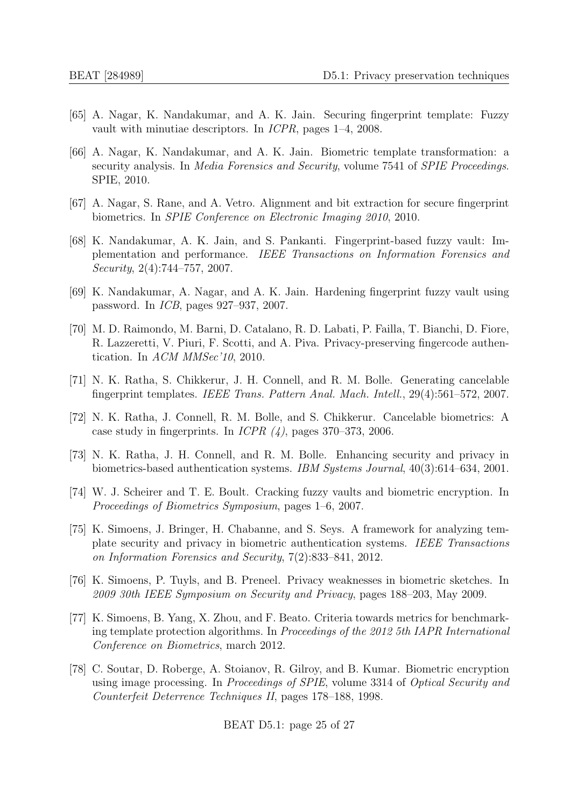- <span id="page-24-7"></span>[65] A. Nagar, K. Nandakumar, and A. K. Jain. Securing fingerprint template: Fuzzy vault with minutiae descriptors. In ICPR, pages 1–4, 2008.
- <span id="page-24-1"></span>[66] A. Nagar, K. Nandakumar, and A. K. Jain. Biometric template transformation: a security analysis. In *Media Forensics and Security*, volume 7541 of *SPIE Proceedings*. SPIE, 2010.
- <span id="page-24-10"></span>[67] A. Nagar, S. Rane, and A. Vetro. Alignment and bit extraction for secure fingerprint biometrics. In SPIE Conference on Electronic Imaging 2010, 2010.
- <span id="page-24-8"></span>[68] K. Nandakumar, A. K. Jain, and S. Pankanti. Fingerprint-based fuzzy vault: Implementation and performance. IEEE Transactions on Information Forensics and Security, 2(4):744–757, 2007.
- <span id="page-24-0"></span>[69] K. Nandakumar, A. Nagar, and A. K. Jain. Hardening fingerprint fuzzy vault using password. In ICB, pages 927–937, 2007.
- <span id="page-24-6"></span>[70] M. D. Raimondo, M. Barni, D. Catalano, R. D. Labati, P. Failla, T. Bianchi, D. Fiore, R. Lazzeretti, V. Piuri, F. Scotti, and A. Piva. Privacy-preserving fingercode authentication. In ACM MMSec'10, 2010.
- <span id="page-24-3"></span>[71] N. K. Ratha, S. Chikkerur, J. H. Connell, and R. M. Bolle. Generating cancelable fingerprint templates. IEEE Trans. Pattern Anal. Mach. Intell., 29(4):561–572, 2007.
- <span id="page-24-4"></span>[72] N. K. Ratha, J. Connell, R. M. Bolle, and S. Chikkerur. Cancelable biometrics: A case study in fingerprints. In ICPR  $(4)$ , pages 370–373, 2006.
- <span id="page-24-2"></span>[73] N. K. Ratha, J. H. Connell, and R. M. Bolle. Enhancing security and privacy in biometrics-based authentication systems. IBM Systems Journal, 40(3):614–634, 2001.
- <span id="page-24-11"></span>[74] W. J. Scheirer and T. E. Boult. Cracking fuzzy vaults and biometric encryption. In Proceedings of Biometrics Symposium, pages 1–6, 2007.
- <span id="page-24-12"></span>[75] K. Simoens, J. Bringer, H. Chabanne, and S. Seys. A framework for analyzing template security and privacy in biometric authentication systems. IEEE Transactions on Information Forensics and Security, 7(2):833–841, 2012.
- <span id="page-24-5"></span>[76] K. Simoens, P. Tuyls, and B. Preneel. Privacy weaknesses in biometric sketches. In 2009 30th IEEE Symposium on Security and Privacy, pages 188–203, May 2009.
- <span id="page-24-13"></span>[77] K. Simoens, B. Yang, X. Zhou, and F. Beato. Criteria towards metrics for benchmarking template protection algorithms. In Proceedings of the 2012 5th IAPR International Conference on Biometrics, march 2012.
- <span id="page-24-9"></span>[78] C. Soutar, D. Roberge, A. Stoianov, R. Gilroy, and B. Kumar. Biometric encryption using image processing. In Proceedings of SPIE, volume 3314 of Optical Security and Counterfeit Deterrence Techniques II, pages 178–188, 1998.

BEAT D5.1: page 25 of [27](#page-19-0)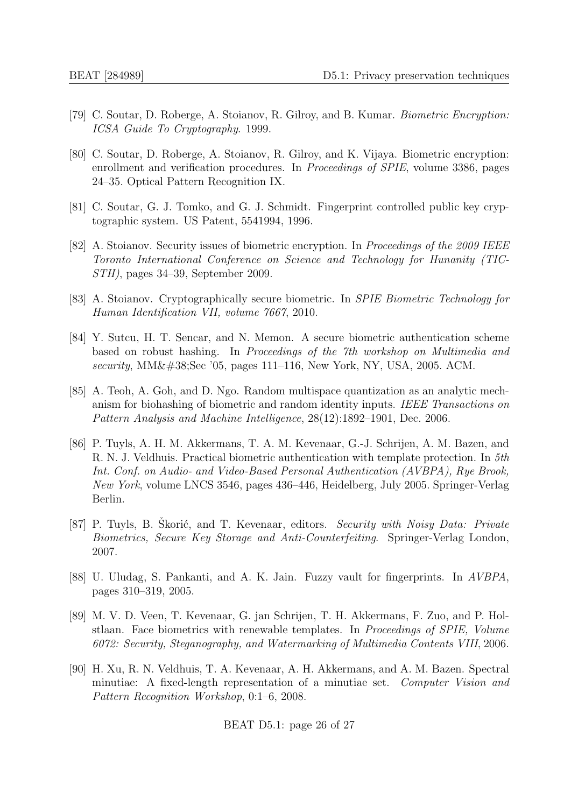- <span id="page-25-6"></span>[79] C. Soutar, D. Roberge, A. Stoianov, R. Gilroy, and B. Kumar. Biometric Encryption: ICSA Guide To Cryptography. 1999.
- <span id="page-25-5"></span>[80] C. Soutar, D. Roberge, A. Stoianov, R. Gilroy, and K. Vijaya. Biometric encryption: enrollment and verification procedures. In Proceedings of SPIE, volume 3386, pages 24–35. Optical Pattern Recognition IX.
- <span id="page-25-4"></span>[81] C. Soutar, G. J. Tomko, and G. J. Schmidt. Fingerprint controlled public key cryptographic system. US Patent, 5541994, 1996.
- <span id="page-25-11"></span>[82] A. Stoianov. Security issues of biometric encryption. In Proceedings of the 2009 IEEE Toronto International Conference on Science and Technology for Hunanity (TIC-STH), pages 34–39, September 2009.
- <span id="page-25-2"></span>[83] A. Stoianov. Cryptographically secure biometric. In SPIE Biometric Technology for Human Identification VII, volume 7667, 2010.
- <span id="page-25-1"></span>[84] Y. Sutcu, H. T. Sencar, and N. Memon. A secure biometric authentication scheme based on robust hashing. In Proceedings of the 7th workshop on Multimedia and security, MM& $\#38$ ; Sec '05, pages 111–116, New York, NY, USA, 2005. ACM.
- <span id="page-25-0"></span>[85] A. Teoh, A. Goh, and D. Ngo. Random multispace quantization as an analytic mechanism for biohashing of biometric and random identity inputs. IEEE Transactions on Pattern Analysis and Machine Intelligence, 28(12):1892–1901, Dec. 2006.
- <span id="page-25-8"></span>[86] P. Tuyls, A. H. M. Akkermans, T. A. M. Kevenaar, G.-J. Schrijen, A. M. Bazen, and R. N. J. Veldhuis. Practical biometric authentication with template protection. In 5th Int. Conf. on Audio- and Video-Based Personal Authentication (AVBPA), Rye Brook, New York, volume LNCS 3546, pages 436–446, Heidelberg, July 2005. Springer-Verlag Berlin.
- <span id="page-25-9"></span>[87] P. Tuyls, B. Skorić, and T. Kevenaar, editors. Security with Noisy Data: Private Biometrics, Secure Key Storage and Anti-Counterfeiting. Springer-Verlag London, 2007.
- <span id="page-25-3"></span>[88] U. Uludag, S. Pankanti, and A. K. Jain. Fuzzy vault for fingerprints. In AVBPA, pages 310–319, 2005.
- <span id="page-25-7"></span>[89] M. V. D. Veen, T. Kevenaar, G. jan Schrijen, T. H. Akkermans, F. Zuo, and P. Holstlaan. Face biometrics with renewable templates. In Proceedings of SPIE, Volume 6072: Security, Steganography, and Watermarking of Multimedia Contents VIII, 2006.
- <span id="page-25-10"></span>[90] H. Xu, R. N. Veldhuis, T. A. Kevenaar, A. H. Akkermans, and A. M. Bazen. Spectral minutiae: A fixed-length representation of a minutiae set. Computer Vision and Pattern Recognition Workshop, 0:1–6, 2008.

BEAT D5.1: page 26 of [27](#page-19-0)